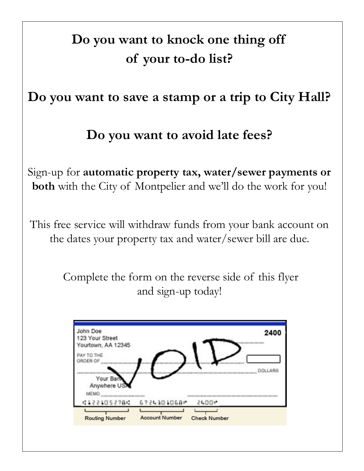## **Do you want to knock one thing off of your to-do list?**

## **Do you want to save a stamp or a trip to City Hall?**

## **Do you want to avoid late fees?**

Sign-up for **automatic property tax, water/sewer payments or both** with the City of Montpelier and we'll do the work for you!

This free service will withdraw funds from your bank account on the dates your property tax and water/sewer bill are due.

> Complete the form on the reverse side of this flyer and sign-up today!